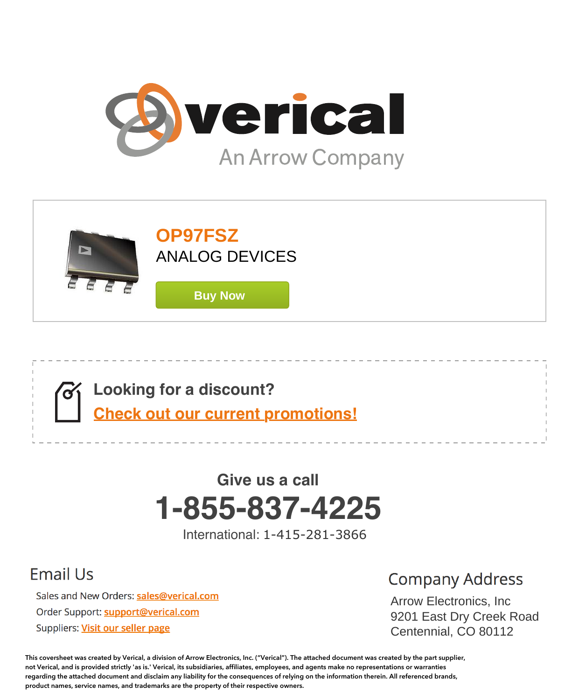





# **1-855-837-4225 Give us a call**

International: 1-415-281-3866

## **Email Us**

Sales and New Orders: sales@verical.com Order Support: support@verical.com Suppliers: Visit our seller page

## **Company Address**

Arrow Electronics, Arrow Electronics, Inc were Elbourner 9201 East Dry Creek Road Centennial, CO 80112

**This coversheet was created by Verical, a division of Arrow Electronics, Inc. ("Verical"). The attached document was created by the part supplier, not Verical, and is provided strictly 'as is.' Verical, its subsidiaries, affiliates, employees, and agents make no representations or warranties regarding the attached document and disclaim any liability for the consequences of relying on the information therein. All referenced brands, product names, service names, and trademarks are the property of their respective owners.**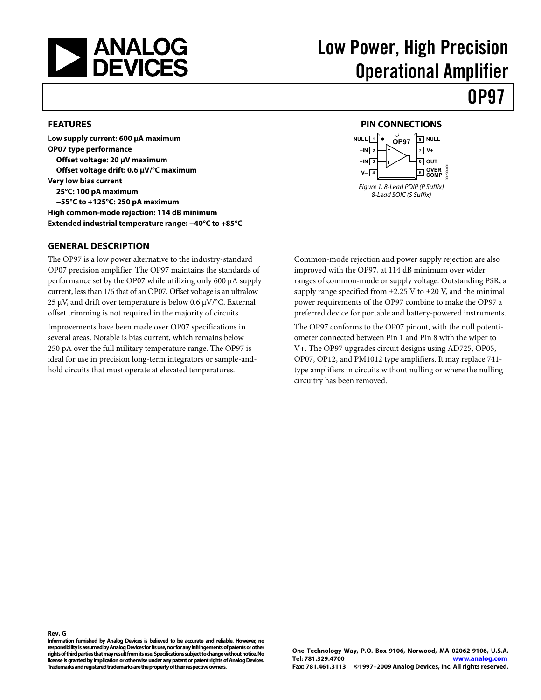<span id="page-1-0"></span>

## Low Power, High Precision Operational Amplifier

### **OP97**

#### **FEATURES**

**Low supply current: 600 μA maximum OP07 type performance Offset voltage: 20 μV maximum Offset voltage drift: 0.6 μV/°C maximum Very low bias current 25°C: 100 pA maximum −55°C to +125°C: 250 pA maximum High common-mode rejection: 114 dB minimum Extended industrial temperature range: −40°C to +85°C** 

#### **GENERAL DESCRIPTION**

The OP97 is a low power alternative to the industry-standard OP07 precision amplifier. The OP97 maintains the standards of performance set by the OP07 while utilizing only 600 μA supply current, less than 1/6 that of an OP07. Offset voltage is an ultralow 25 μV, and drift over temperature is below 0.6 μV/°C. External offset trimming is not required in the majority of circuits.

Improvements have been made over OP07 specifications in several areas. Notable is bias current, which remains below 250 pA over the full military temperature range. The OP97 is ideal for use in precision long-term integrators or sample-andhold circuits that must operate at elevated temperatures.

#### **PIN CONNECTIONS**



Common-mode rejection and power supply rejection are also improved with the OP97, at 114 dB minimum over wider ranges of common-mode or supply voltage. Outstanding PSR, a supply range specified from  $\pm$ 2.25 V to  $\pm$ 20 V, and the minimal power requirements of the OP97 combine to make the OP97 a preferred device for portable and battery-powered instruments.

The OP97 conforms to the OP07 pinout, with the null potentiometer connected between Pin 1 and Pin 8 with the wiper to V+. The OP97 upgrades circuit designs using AD725, OP05, OP07, OP12, and PM1012 type amplifiers. It may replace 741 type amplifiers in circuits without nulling or where the nulling circuitry has been removed.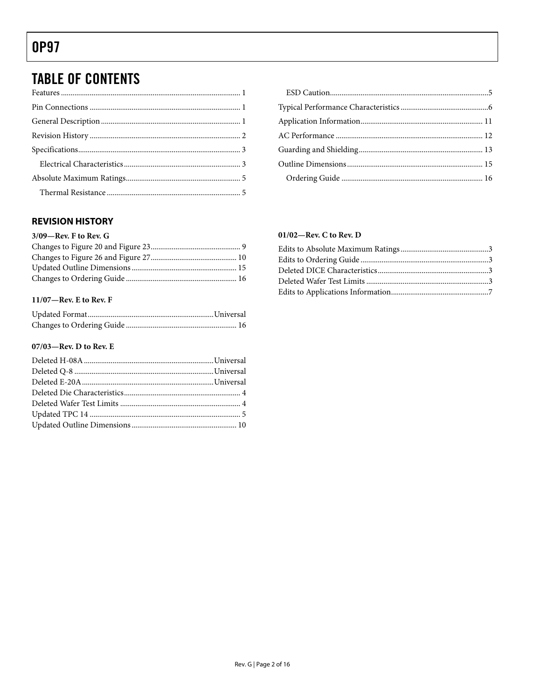### <span id="page-2-0"></span>**TABLE OF CONTENTS**

#### **REVISION HISTORY**

#### 11/07-Rev. E to Rev. F

#### 07/03-Rev. D to Rev. E

| $\mathbf{1}$   |  |
|----------------|--|
| $\mathbf{1}$   |  |
| $\mathbf{1}$   |  |
| $\mathfrak{D}$ |  |
| 3              |  |
| $\mathbf{3}$   |  |
| 5              |  |

#### $01/02$ —Rev. C to Rev. D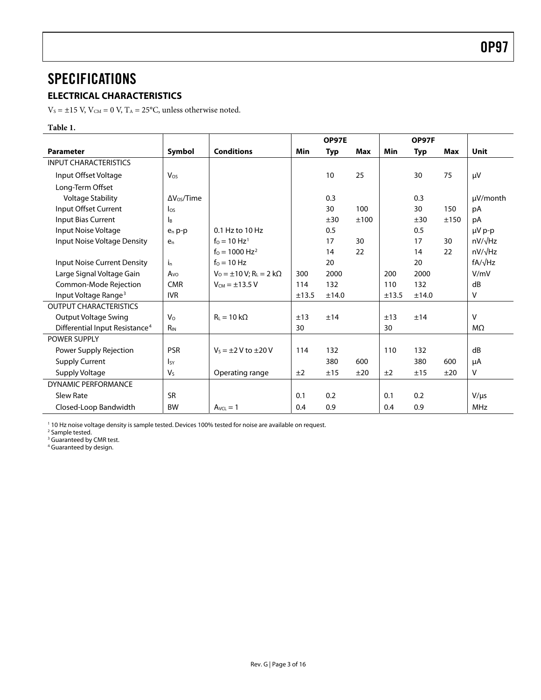### <span id="page-3-0"></span>**SPECIFICATIONS**

#### **ELECTRICAL CHARACTERISTICS**

 $\rm V_S$  =  $\pm 15$  V,  $\rm V_{\rm CM}$  = 0 V,  $\rm T_A$  = 25°C, unless otherwise noted.

#### **Table 1.**

|                                            |                       |                                                  |       | <b>OP97E</b> |      |       | OP97F      |      |                |
|--------------------------------------------|-----------------------|--------------------------------------------------|-------|--------------|------|-------|------------|------|----------------|
| <b>Parameter</b>                           | Symbol                | <b>Conditions</b>                                | Min   | <b>Typ</b>   | Max  | Min   | <b>Typ</b> | Max  | <b>Unit</b>    |
| <b>INPUT CHARACTERISTICS</b>               |                       |                                                  |       |              |      |       |            |      |                |
| Input Offset Voltage                       | Vos                   |                                                  |       | 10           | 25   |       | 30         | 75   | $\mu$ V        |
| Long-Term Offset                           |                       |                                                  |       |              |      |       |            |      |                |
| <b>Voltage Stability</b>                   | $\Delta V_{OS}/$ Time |                                                  |       | 0.3          |      |       | 0.3        |      | µV/month       |
| Input Offset Current                       | $\log$                |                                                  |       | 30           | 100  |       | 30         | 150  | pA             |
| <b>Input Bias Current</b>                  | Iв                    |                                                  |       | ±30          | ±100 |       | ±30        | ±150 | pA             |
| Input Noise Voltage                        | $e_n$ p-p             | 0.1 Hz to 10 Hz                                  |       | 0.5          |      |       | 0.5        |      | µV p-p         |
| Input Noise Voltage Density                | $e_n$                 | $f_0 = 10 \text{ Hz}^1$                          |       | 17           | 30   |       | 17         | 30   | $nV/\sqrt{Hz}$ |
|                                            |                       | $f_0 = 1000 \text{ Hz}^2$                        |       | 14           | 22   |       | 14         | 22   | $nV/\sqrt{Hz}$ |
| <b>Input Noise Current Density</b>         | i <sub>n</sub>        | $f_0 = 10$ Hz                                    |       | 20           |      |       | 20         |      | $fA/\sqrt{Hz}$ |
| Large Signal Voltage Gain                  | Avo                   | $V_0 = \pm 10 V$ ; R <sub>L</sub> = 2 k $\Omega$ | 300   | 2000         |      | 200   | 2000       |      | V/mV           |
| Common-Mode Rejection                      | <b>CMR</b>            | $V_{CM} = \pm 13.5 V$                            | 114   | 132          |      | 110   | 132        |      | dB             |
| Input Voltage Range <sup>3</sup>           | <b>IVR</b>            |                                                  | ±13.5 | ±14.0        |      | ±13.5 | ±14.0      |      | v              |
| <b>OUTPUT CHARACTERISTICS</b>              |                       |                                                  |       |              |      |       |            |      |                |
| Output Voltage Swing                       | V <sub>o</sub>        | $R_L = 10 k\Omega$                               | ±13   | ±14          |      | ±13   | ±14        |      | $\vee$         |
| Differential Input Resistance <sup>4</sup> | $R_{IN}$              |                                                  | 30    |              |      | 30    |            |      | $M\Omega$      |
| <b>POWER SUPPLY</b>                        |                       |                                                  |       |              |      |       |            |      |                |
| Power Supply Rejection                     | <b>PSR</b>            | $V_s = \pm 2$ V to $\pm 20$ V                    | 114   | 132          |      | 110   | 132        |      | dB             |
| <b>Supply Current</b>                      | <b>I</b> sy           |                                                  |       | 380          | 600  |       | 380        | 600  | μA             |
| Supply Voltage                             | $V_{S}$               | Operating range                                  | ±2    | ±15          | ±20  | ±2    | ±15        | ±20  | v              |
| <b>DYNAMIC PERFORMANCE</b>                 |                       |                                                  |       |              |      |       |            |      |                |
| <b>Slew Rate</b>                           | <b>SR</b>             |                                                  | 0.1   | 0.2          |      | 0.1   | 0.2        |      | $V/\mu s$      |
| Closed-Loop Bandwidth                      | <b>BW</b>             | $A_{VCL} = 1$                                    | 0.4   | 0.9          |      | 0.4   | 0.9        |      | MHz            |

<sup>1</sup> 10 Hz noise voltage density is sample tested. Devices 100% tested for noise are available on request.<br><sup>2</sup> Sample tested

<sup>2</sup> Sample tested.<br><sup>3</sup> Guaranteed by CMR test.<br><sup>4</sup> Guaranteed by design.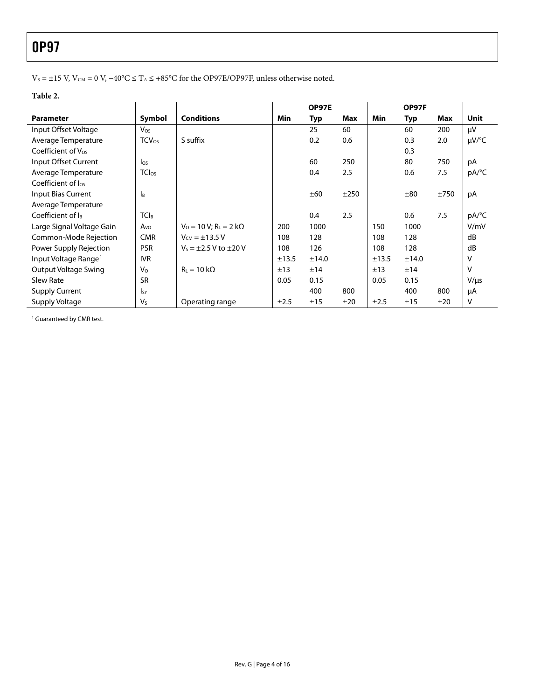$V_S = ±15$  V,  $V_{CM} = 0$  V,  $-40^{\circ}\text{C} \leq T_A \leq +85^{\circ}\text{C}$  for the OP97E/OP97F, unless otherwise noted.

#### **Table 2.**

|                                  |                         |                                              |       | <b>OP97E</b> |      |       | OP97F |      |           |
|----------------------------------|-------------------------|----------------------------------------------|-------|--------------|------|-------|-------|------|-----------|
| <b>Parameter</b>                 | Symbol                  | <b>Conditions</b>                            | Min   | Typ          | Max  | Min   | Typ   | Max  | Unit      |
| Input Offset Voltage             | Vos                     |                                              |       | 25           | 60   |       | 60    | 200  | μV        |
| Average Temperature              | <b>TCV<sub>os</sub></b> | S suffix                                     |       | 0.2          | 0.6  |       | 0.3   | 2.0  | µV/°C     |
| Coefficient of Vos               |                         |                                              |       |              |      |       | 0.3   |      |           |
| Input Offset Current             | $\log$                  |                                              |       | 60           | 250  |       | 80    | 750  | pA        |
| Average Temperature              | <b>TClos</b>            |                                              |       | 0.4          | 2.5  |       | 0.6   | 7.5  | pA/°C     |
| Coefficient of los               |                         |                                              |       |              |      |       |       |      |           |
| Input Bias Current               | Iв                      |                                              |       | ±60          | ±250 |       | ±80   | ±750 | pA        |
| Average Temperature              |                         |                                              |       |              |      |       |       |      |           |
| Coefficient of lB                | <b>TCIB</b>             |                                              |       | 0.4          | 2.5  |       | 0.6   | 7.5  | pA/°C     |
| Large Signal Voltage Gain        | $A_{\rm VO}$            | $V_0 = 10 V$ ; R <sub>L</sub> = 2 k $\Omega$ | 200   | 1000         |      | 150   | 1000  |      | V/mV      |
| Common-Mode Rejection            | <b>CMR</b>              | $V_{CM} = \pm 13.5 V$                        | 108   | 128          |      | 108   | 128   |      | dB        |
| Power Supply Rejection           | <b>PSR</b>              | $V_5 = \pm 2.5 V$ to $\pm 20 V$              | 108   | 126          |      | 108   | 128   |      | dB        |
| Input Voltage Range <sup>1</sup> | <b>IVR</b>              |                                              | ±13.5 | ±14.0        |      | ±13.5 | ±14.0 |      | v         |
| Output Voltage Swing             | $V_{\Omega}$            | $R_L = 10 k\Omega$                           | ±13   | ±14          |      | ±13   | ±14   |      | v         |
| Slew Rate                        | <b>SR</b>               |                                              | 0.05  | 0.15         |      | 0.05  | 0.15  |      | $V/\mu s$ |
| <b>Supply Current</b>            | $I_{SY}$                |                                              |       | 400          | 800  |       | 400   | 800  | μA        |
| Supply Voltage                   | $V_{S}$                 | Operating range                              | ±2.5  | ±15          | ±20  | ±2.5  | ±15   | ±20  | ٧         |

1 Guaranteed by CMR test.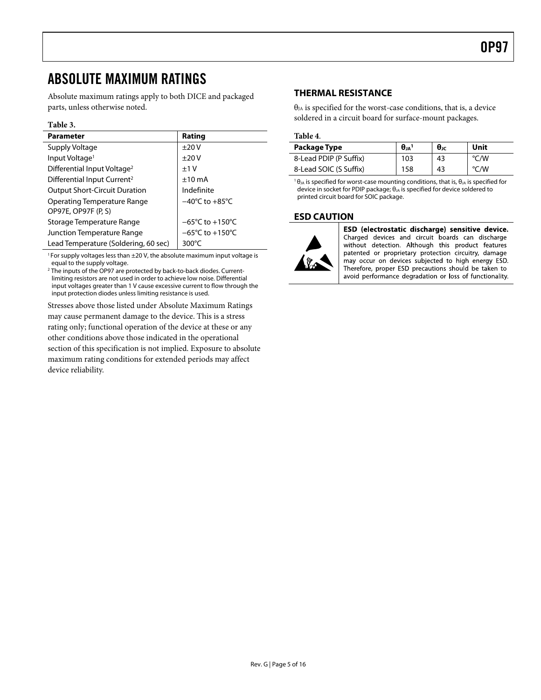### <span id="page-5-0"></span>ABSOLUTE MAXIMUM RATINGS

Absolute maximum ratings apply to both DICE and packaged parts, unless otherwise noted.

#### **Table 3.**

| <b>Parameter</b>                        | Rating                              |
|-----------------------------------------|-------------------------------------|
| Supply Voltage                          | ±20V                                |
| Input Voltage <sup>1</sup>              | ±20V                                |
| Differential Input Voltage <sup>2</sup> | $+1V$                               |
| Differential Input Current <sup>2</sup> | $±10$ mA                            |
| <b>Output Short-Circuit Duration</b>    | Indefinite                          |
| <b>Operating Temperature Range</b>      | $-40^{\circ}$ C to $+85^{\circ}$ C  |
| OP97E, OP97F (P, S)                     |                                     |
| Storage Temperature Range               | $-65^{\circ}$ C to $+150^{\circ}$ C |
| Junction Temperature Range              | $-65^{\circ}$ C to $+150^{\circ}$ C |
| Lead Temperature (Soldering, 60 sec)    | 300 $\degree$ C                     |

<sup>1</sup> For supply voltages less than  $\pm 20$  V, the absolute maximum input voltage is equal to the supply voltage.

<sup>2</sup> The inputs of the OP97 are protected by back-to-back diodes. Currentlimiting resistors are not used in order to achieve low noise. Differential input voltages greater than 1 V cause excessive current to flow through the input protection diodes unless limiting resistance is used.

Stresses above those listed under Absolute Maximum Ratings may cause permanent damage to the device. This is a stress rating only; functional operation of the device at these or any other conditions above those indicated in the operational section of this specification is not implied. Exposure to absolute maximum rating conditions for extended periods may affect device reliability.

#### **THERMAL RESISTANCE**

 $\theta_{JA}$  is specified for the worst-case conditions, that is, a device soldered in a circuit board for surface-mount packages.

#### **Table 4**.

| Package Type           | $\theta_{JA}$ <sup>1</sup> | $\theta_{\text{JC}}$ | Unit          |
|------------------------|----------------------------|----------------------|---------------|
| 8-Lead PDIP (P Suffix) | 103                        | 43                   | $\degree$ C/W |
| 8-Lead SOIC (S Suffix) | 158                        | 43                   | °C/W          |

 $\theta_{JA}$  is specified for worst-case mounting conditions, that is,  $\theta_{JA}$  is specified for device in socket for PDIP package; θ<sub>JA</sub> is specified for device soldered to printed circuit board for SOIC package.

#### **ESD CAUTION**



ESD (electrostatic discharge) sensitive device. Charged devices and circuit boards can discharge without detection. Although this product features patented or proprietary protection circuitry, damage may occur on devices subjected to high energy ESD. Therefore, proper ESD precautions should be taken to avoid performance degradation or loss of functionality.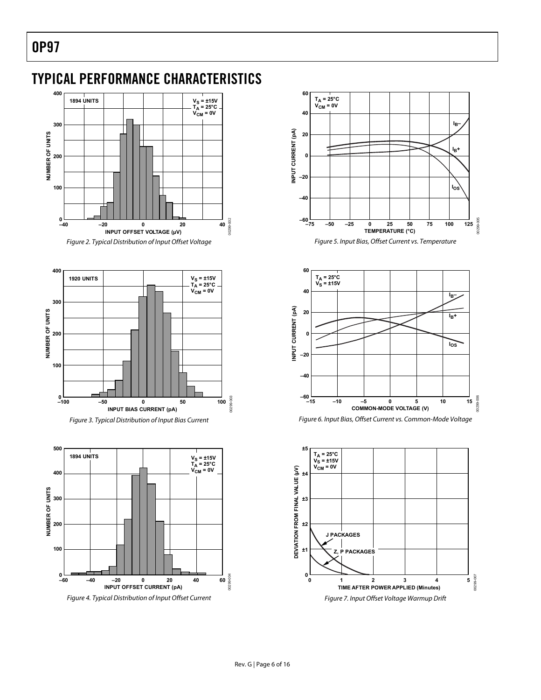### <span id="page-6-0"></span>TYPICAL PERFORMANCE CHARACTERISTICS



















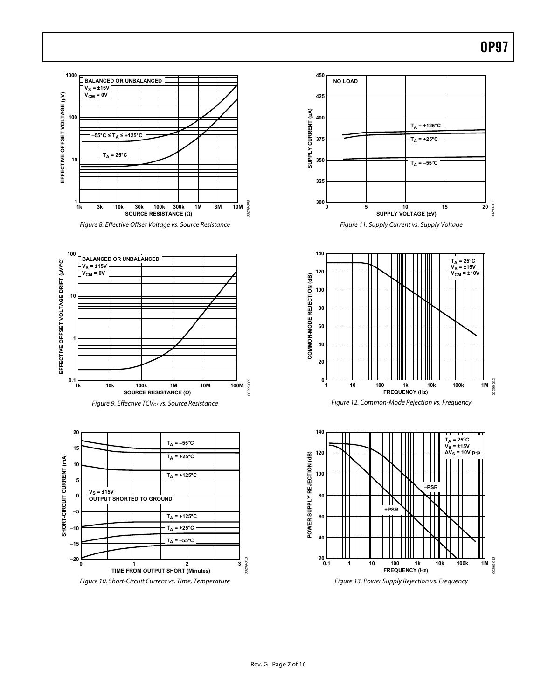

Figure 8. Effective Offset Voltage vs. Source Resistance













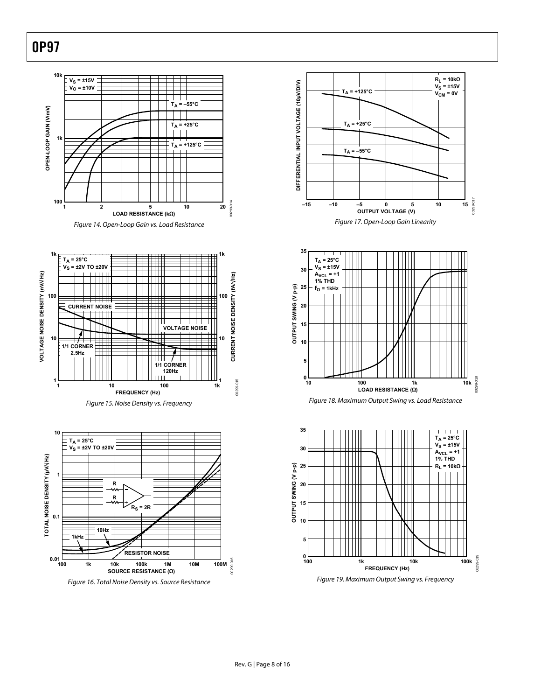



Figure 15. Noise Density vs. Frequency











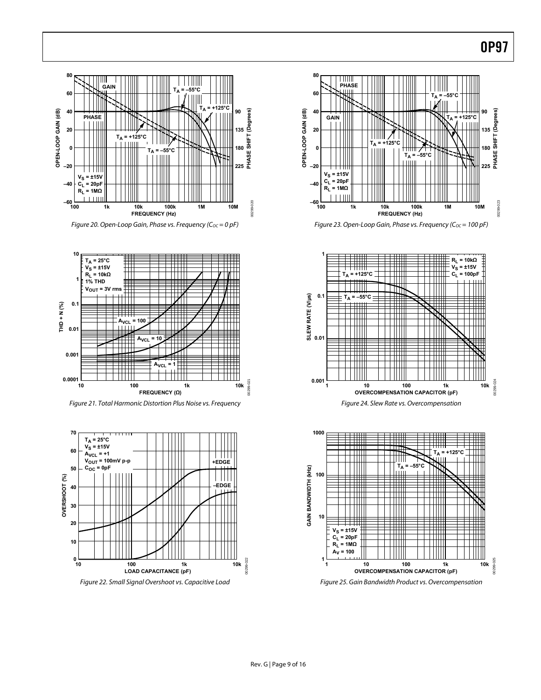

Figure 20. Open-Loop Gain, Phase vs. Frequency ( $C_{OC} = 0$  pF)



Figure 21. Total Harmonic Distortion Plus Noise vs. Frequency



Figure 22. Small Signal Overshoot vs. Capacitive Load



Figure 23. Open-Loop Gain, Phase vs. Frequency ( $C_{OC}$  = 100 pF)





Figure 25. Gain Bandwidth Product vs. Overcompensation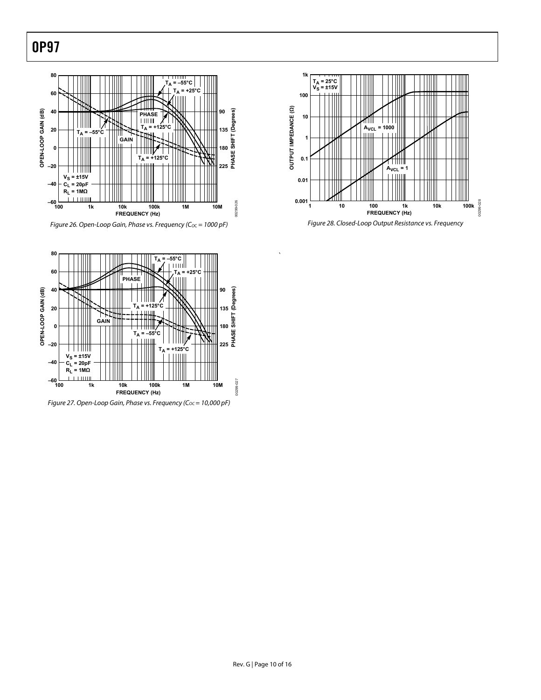



Figure 28. Closed-Loop Output Resistance vs. Frequency



`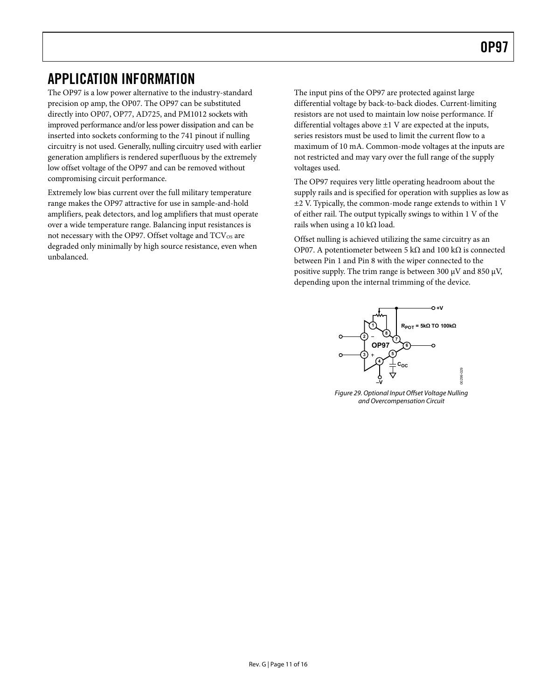### <span id="page-11-0"></span>APPLICATION INFORMATION

The OP97 is a low power alternative to the industry-standard precision op amp, the OP07. The OP97 can be substituted directly into OP07, OP77, AD725, and PM1012 sockets with improved performance and/or less power dissipation and can be inserted into sockets conforming to the 741 pinout if nulling circuitry is not used. Generally, nulling circuitry used with earlier generation amplifiers is rendered superfluous by the extremely low offset voltage of the OP97 and can be removed without compromising circuit performance.

Extremely low bias current over the full military temperature range makes the OP97 attractive for use in sample-and-hold amplifiers, peak detectors, and log amplifiers that must operate over a wide temperature range. Balancing input resistances is not necessary with the OP97. Offset voltage and  $TCV_{OS}$  are degraded only minimally by high source resistance, even when unbalanced.

The input pins of the OP97 are protected against large differential voltage by back-to-back diodes. Current-limiting resistors are not used to maintain low noise performance. If differential voltages above  $\pm 1$  V are expected at the inputs, series resistors must be used to limit the current flow to a maximum of 10 mA. Common-mode voltages at the inputs are not restricted and may vary over the full range of the supply voltages used.

The OP97 requires very little operating headroom about the supply rails and is specified for operation with supplies as low as ±2 V. Typically, the common-mode range extends to within 1 V of either rail. The output typically swings to within 1 V of the rails when using a 10 k $\Omega$  load.

Offset nulling is achieved utilizing the same circuitry as an OP07. A potentiometer between 5 kΩ and 100 kΩ is connected between Pin 1 and Pin 8 with the wiper connected to the positive supply. The trim range is between 300 μV and 850 μV, depending upon the internal trimming of the device.



Figure 29. Optional Input Offset Voltage Nulling and Overcompensation Circuit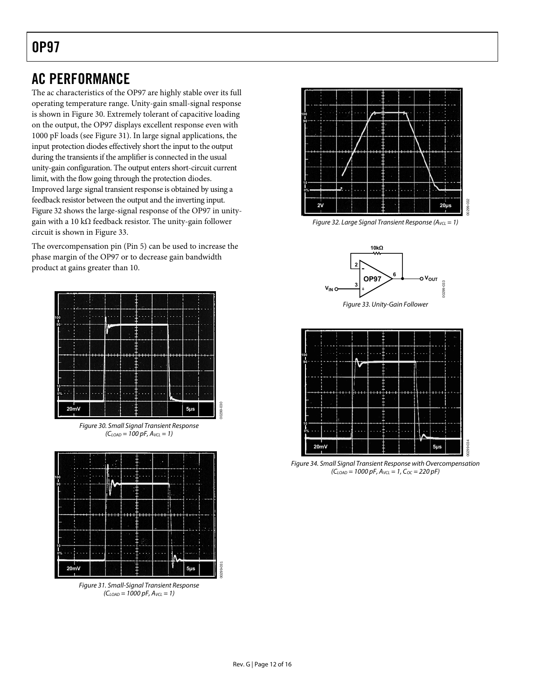### <span id="page-12-0"></span>AC PERFORMANCE

The ac characteristics of the OP97 are highly stable over its full operating temperature range. Unity-gain small-signal response is shown in [Figure 30.](#page-12-1) Extremely tolerant of capacitive loading on the output, the OP97 displays excellent response even with 1000 pF loads (see [Figure 31](#page-12-2)). In large signal applications, the input protection diodes effectively short the input to the output during the transients if the amplifier is connected in the usual unity-gain configuration. The output enters short-circuit current limit, with the flow going through the protection diodes. Improved large signal transient response is obtained by using a feedback resistor between the output and the inverting input. [Figure 32](#page-12-3) shows the large-signal response of the OP97 in unitygain with a 10 kΩ feedback resistor. The unity-gain follower circuit is shown in [Figure 33](#page-12-4).

<span id="page-12-3"></span>The overcompensation pin (Pin 5) can be used to increase the phase margin of the OP97 or to decrease gain bandwidth product at gains greater than 10.

<span id="page-12-4"></span>

Figure 30. Small Signal Transient Response  $(C_{LOAD} = 100 pF, A_{VCL} = 1)$ 

00299-030

00299-031

<span id="page-12-1"></span>

<span id="page-12-2"></span>Figure 31. Small-Signal Transient Response  $(C_{LOAD} = 1000 pF, A_{VCL} = 1)$ 



Figure 32. Large Signal Transient Response ( $A_{VCL} = 1$ )





Figure 34. Small Signal Transient Response with Overcompensation  $(C_{LOAD} = 1000 pF, A_{VCL} = 1, C_{OC} = 220 pF)$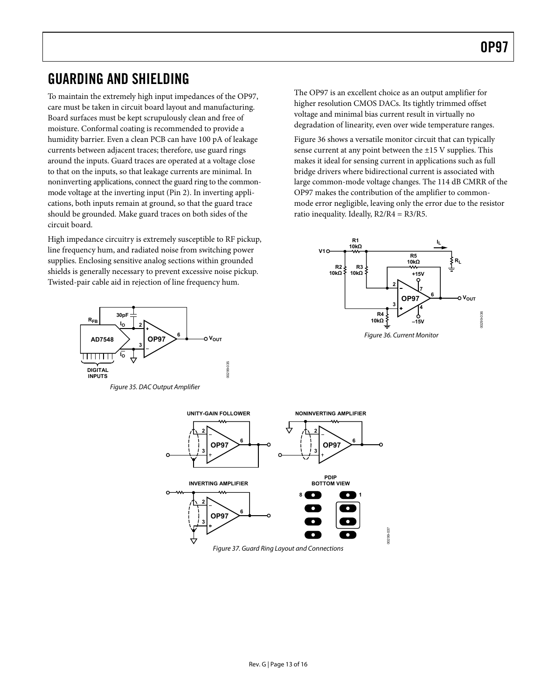### <span id="page-13-0"></span>GUARDING AND SHIELDING

To maintain the extremely high input impedances of the OP97, care must be taken in circuit board layout and manufacturing. Board surfaces must be kept scrupulously clean and free of moisture. Conformal coating is recommended to provide a humidity barrier. Even a clean PCB can have 100 pA of leakage currents between adjacent traces; therefore, use guard rings around the inputs. Guard traces are operated at a voltage close to that on the inputs, so that leakage currents are minimal. In noninverting applications, connect the guard ring to the commonmode voltage at the inverting input (Pin 2). In inverting applications, both inputs remain at ground, so that the guard trace should be grounded. Make guard traces on both sides of the circuit board.

High impedance circuitry is extremely susceptible to RF pickup, line frequency hum, and radiated noise from switching power supplies. Enclosing sensitive analog sections within grounded shields is generally necessary to prevent excessive noise pickup. Twisted-pair cable aid in rejection of line frequency hum.

<span id="page-13-1"></span>

Figure 35. DAC Output Amplifier

The OP97 is an excellent choice as an output amplifier for higher resolution CMOS DACs. Its tightly trimmed offset voltage and minimal bias current result in virtually no degradation of linearity, even over wide temperature ranges.

[Figure 36](#page-13-1) shows a versatile monitor circuit that can typically sense current at any point between the ±15 V supplies. This makes it ideal for sensing current in applications such as full bridge drivers where bidirectional current is associated with large common-mode voltage changes. The 114 dB CMRR of the OP97 makes the contribution of the amplifier to commonmode error negligible, leaving only the error due to the resistor ratio inequality. Ideally, R2/R4 = R3/R5.



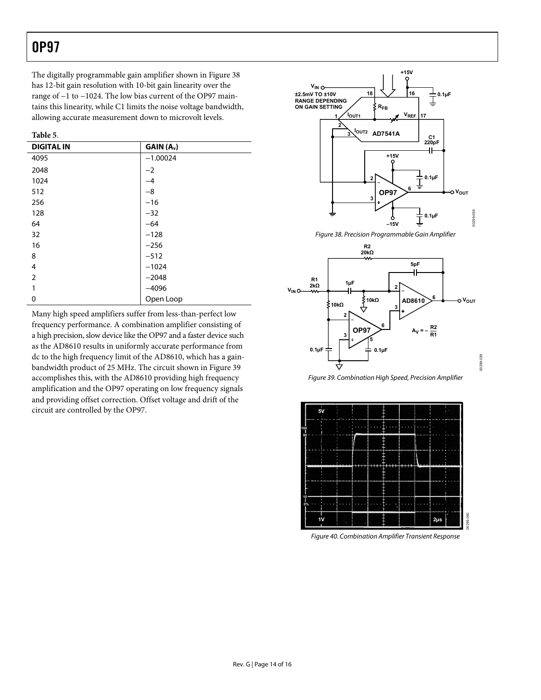The digitally programmable gain amplifier shown in [Figure 38](#page-14-0) has 12-bit gain resolution with 10-bit gain linearity over the range of −1 to −1024. The low bias current of the OP97 maintains this linearity, while C1 limits the noise voltage bandwidth, allowing accurate measurement down to microvolt levels.

| וחו |
|-----|
|-----|

| <b>DIGITAL IN</b> | GAIN (A <sub>v</sub> ) |
|-------------------|------------------------|
| 4095              | $-1.00024$             |
| 2048              | $-2$                   |
| 1024              | -4                     |
| 512               | $-8$                   |
| 256               | $-16$                  |
| 128               | $-32$                  |
| 64                | $-64$                  |
| 32                | $-128$                 |
| 16                | $-256$                 |
| 8                 | $-512$                 |
| 4                 | $-1024$                |
| $\overline{2}$    | $-2048$                |
| 1                 | $-4096$                |
| 0                 | Open Loop              |

<span id="page-14-1"></span><span id="page-14-0"></span>Many high speed amplifiers suffer from less-than-perfect low frequency performance. A combination amplifier consisting of a high precision, slow device like the OP97 and a faster device such as the AD8610 results in uniformly accurate performance from dc to the high frequency limit of the AD8610, which has a gainbandwidth product of 25 MHz. The circuit shown in [Figure 39](#page-14-1) accomplishes this, with the AD8610 providing high frequency amplification and the OP97 operating on low frequency signals and providing offset correction. Offset voltage and drift of the circuit are controlled by the OP97.



Figure 38. Precision Programmable Gain Amplifier



Figure 39. Combination High Speed, Precision Amplifier

00299-039



Figure 40. Combination Amplifier Transient Response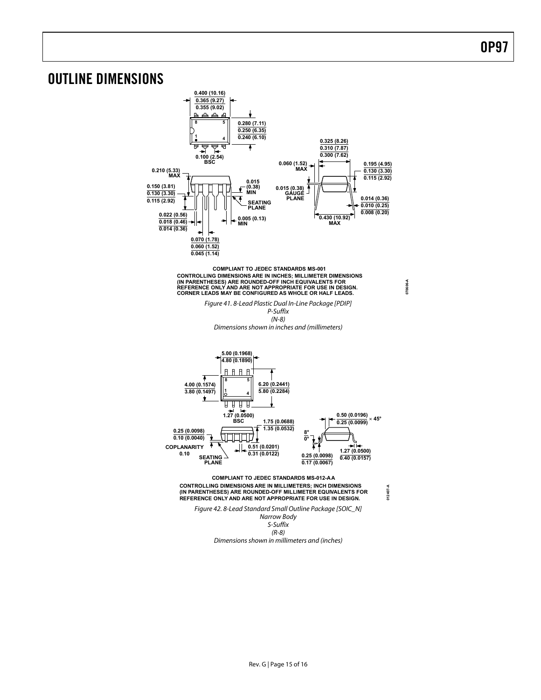### <span id="page-15-0"></span>OUTLINE DIMENSIONS